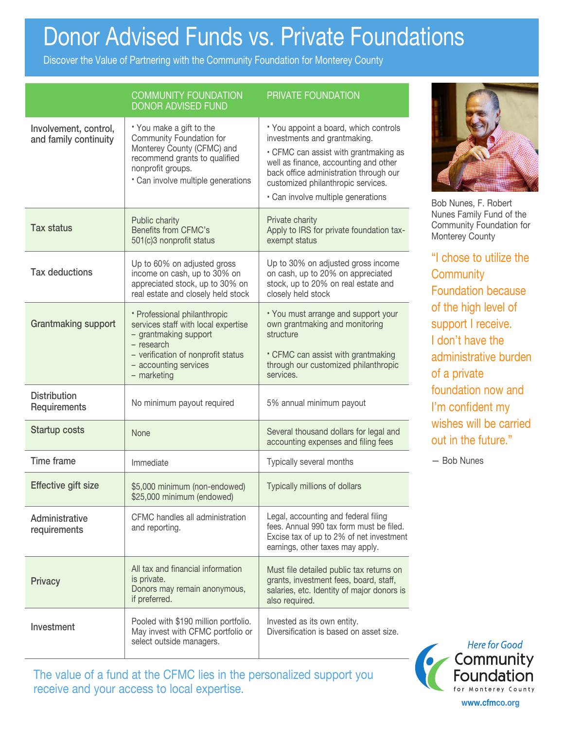# Donor Advised Funds vs. Private Foundations

Discover the Value of Partnering with the Community Foundation for Monterey County

|                                                | <b>COMMUNITY FOUNDATION</b><br><b>DONOR ADVISED FUND</b>                                                                                                                       | PRIVATE FOUNDATION                                                                                                                                                                                                                                                            |
|------------------------------------------------|--------------------------------------------------------------------------------------------------------------------------------------------------------------------------------|-------------------------------------------------------------------------------------------------------------------------------------------------------------------------------------------------------------------------------------------------------------------------------|
| Involvement, control,<br>and family continuity | * You make a gift to the<br>Community Foundation for<br>Monterey County (CFMC) and<br>recommend grants to qualified<br>nonprofit groups.<br>* Can involve multiple generations | * You appoint a board, which controls<br>investments and grantmaking.<br>• CFMC can assist with grantmaking as<br>well as finance, accounting and other<br>back office administration through our<br>customized philanthropic services.<br>• Can involve multiple generations |
| <b>Tax status</b>                              | Public charity<br>Benefits from CFMC's<br>501(c)3 nonprofit status                                                                                                             | Private charity<br>Apply to IRS for private foundation tax-<br>exempt status                                                                                                                                                                                                  |
| <b>Tax deductions</b>                          | Up to 60% on adjusted gross<br>income on cash, up to 30% on<br>appreciated stock, up to 30% on<br>real estate and closely held stock                                           | Up to 30% on adjusted gross income<br>on cash, up to 20% on appreciated<br>stock, up to 20% on real estate and<br>closely held stock                                                                                                                                          |
| <b>Grantmaking support</b>                     | • Professional philanthropic<br>services staff with local expertise<br>- grantmaking support<br>- research                                                                     | * You must arrange and support your<br>own grantmaking and monitoring<br>structure                                                                                                                                                                                            |
|                                                | - verification of nonprofit status<br>- accounting services<br>- marketing                                                                                                     | • CFMC can assist with grantmaking<br>through our customized philanthropic<br>services.                                                                                                                                                                                       |
| <b>Distribution</b><br>Requirements            | No minimum payout required                                                                                                                                                     | 5% annual minimum payout                                                                                                                                                                                                                                                      |
| <b>Startup costs</b>                           | None                                                                                                                                                                           | Several thousand dollars for legal and<br>accounting expenses and filing fees                                                                                                                                                                                                 |
| Time frame                                     | Immediate                                                                                                                                                                      | Typically several months                                                                                                                                                                                                                                                      |
| <b>Effective gift size</b>                     | \$5,000 minimum (non-endowed)<br>\$25,000 minimum (endowed)                                                                                                                    | Typically millions of dollars                                                                                                                                                                                                                                                 |
| Administrative<br>requirements                 | CFMC handles all administration<br>and reporting.                                                                                                                              | Legal, accounting and federal filing<br>fees. Annual 990 tax form must be filed.<br>Excise tax of up to 2% of net investment<br>earnings, other taxes may apply.                                                                                                              |
| <b>Privacy</b>                                 | All tax and financial information<br>is private.<br>Donors may remain anonymous,<br>if preferred.                                                                              | Must file detailed public tax returns on<br>grants, investment fees, board, staff,<br>salaries, etc. Identity of major donors is<br>also required.                                                                                                                            |
| Investment                                     | Pooled with \$190 million portfolio.<br>May invest with CFMC portfolio or<br>select outside managers.                                                                          | Invested as its own entity.<br>Diversification is based on asset size.                                                                                                                                                                                                        |



Bob Nunes, F. Robert Nunes Family Fund of the Community Foundation for Monterey County

"I chose to utilize the **Community** Foundation because of the high level of support I receive. I don't have the administrative burden of a private foundation now and I'm confident my wishes will be carried out in the future."

— Bob Nunes



The value of a fund at the CFMC lies in the personalized support you receive and your access to local expertise.